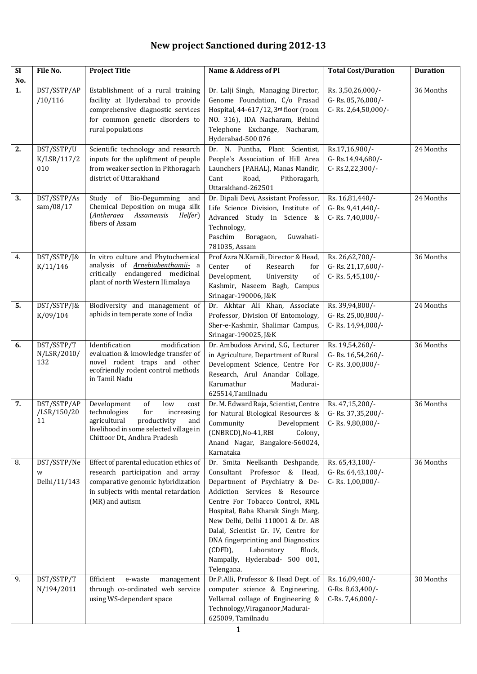## **New project Sanctioned during 2012-13**

| <b>SI</b> | File No.                         | <b>Project Title</b>                                                                                                                                                                | Name & Address of PI                                                                                                                                                                                                                                                                                                                                                                                         | <b>Total Cost/Duration</b>                                    | <b>Duration</b> |
|-----------|----------------------------------|-------------------------------------------------------------------------------------------------------------------------------------------------------------------------------------|--------------------------------------------------------------------------------------------------------------------------------------------------------------------------------------------------------------------------------------------------------------------------------------------------------------------------------------------------------------------------------------------------------------|---------------------------------------------------------------|-----------------|
| No.       |                                  |                                                                                                                                                                                     |                                                                                                                                                                                                                                                                                                                                                                                                              |                                                               |                 |
| 1.        | DST/SSTP/AP<br>/10/116           | Establishment of a rural training<br>facility at Hyderabad to provide<br>comprehensive diagnostic services<br>for common genetic disorders to<br>rural populations                  | Dr. Lalji Singh, Managing Director,<br>Genome Foundation, C/o Prasad<br>Hospital, 44-617/12, 3rd floor (room<br>NO. 316), IDA Nacharam, Behind<br>Telephone Exchange, Nacharam,<br>Hyderabad-500 076                                                                                                                                                                                                         | Rs. 3,50,26,000/-<br>G-Rs. 85,76,000/-<br>C-Rs. 2,64,50,000/- | 36 Months       |
| 2.        | DST/SSTP/U<br>K/LSR/117/2<br>010 | Scientific technology and research<br>inputs for the upliftment of people<br>from weaker section in Pithoragarh<br>district of Uttarakhand                                          | Dr. N. Puntha, Plant Scientist,<br>People's Association of Hill Area<br>Launchers (PAHAL), Manas Mandir,<br>Road,<br>Cant<br>Pithoragarh,<br>Uttarakhand-262501                                                                                                                                                                                                                                              | Rs.17,16,980/-<br>G-Rs.14,94,680/-<br>C-Rs.2,22,300/-         | 24 Months       |
| 3.        | DST/SSTP/As<br>sam/08/17         | Study of Bio-Degumming<br>and<br>Chemical Deposition on muga silk<br>(Antheraea Assamensis<br>Helfer)<br>fibers of Assam                                                            | Dr. Dipali Devi, Assistant Professor,<br>Life Science Division, Institute of<br>Advanced Study in Science &<br>Technology,<br>Paschim<br>Boragaon,<br>Guwahati-<br>781035, Assam                                                                                                                                                                                                                             | Rs. 16,81,440/-<br>G-Rs. 9,41,440/-<br>C-Rs. 7,40,000/-       | 24 Months       |
| 4.        | DST/SSTP/J&<br>K/11/146          | In vitro culture and Phytochemical<br>analysis of Arnebiabenthamii- a<br>critically endangered medicinal<br>plant of north Western Himalaya                                         | Prof Azra N.Kamili, Director & Head,<br>Center<br>of<br>Research<br>for<br>Development,<br>University<br>of<br>Kashmir, Naseem Bagh, Campus<br>Srinagar-190006, J&K                                                                                                                                                                                                                                          | Rs. 26,62,700/-<br>G-Rs. 21,17,600/-<br>C-Rs. 5,45,100/-      | 36 Months       |
| 5.        | DST/SSTP/J&<br>K/09/104          | Biodiversity and management of<br>aphids in temperate zone of India                                                                                                                 | Dr. Akhtar Ali Khan, Associate<br>Professor, Division Of Entomology,<br>Sher-e-Kashmir, Shalimar Campus,<br>Srinagar-190025, J&K                                                                                                                                                                                                                                                                             | Rs. 39,94,800/-<br>G-Rs. 25,00,800/-<br>C-Rs. 14,94,000/-     | 24 Months       |
| 6.        | DST/SSTP/T<br>N/LSR/2010/<br>132 | Identification<br>modification<br>evaluation & knowledge transfer of<br>novel rodent traps and other<br>ecofriendly rodent control methods<br>in Tamil Nadu                         | Dr. Ambudoss Arvind, S.G, Lecturer<br>in Agriculture, Department of Rural<br>Development Science, Centre For<br>Research, Arul Anandar Collage,<br>Karumathur<br>Madurai-<br>625514, Tamilnadu                                                                                                                                                                                                               | Rs. 19,54,260/-<br>G-Rs. 16,54,260/-<br>C-Rs. 3,00,000/-      | 36 Months       |
| 7.        | DST/SSTP/AP<br>/LSR/150/20<br>11 | Development<br>of<br>low<br>cost<br>technologies<br>for<br>increasing<br>agricultural productivity<br>and<br>livelihood in some selected village in<br>Chittoor Dt., Andhra Pradesh | Dr. M. Edward Raja, Scientist, Centre<br>for Natural Biological Resources &<br>Community<br>Development<br>(CNBRCD), No-41, RBI<br>Colony,<br>Anand Nagar, Bangalore-560024,<br>Karnataka                                                                                                                                                                                                                    | Rs. 47,15,200/-<br>G-Rs. 37,35,200/-<br>C-Rs. 9,80,000/-      | 36 Months       |
| 8.        | DST/SSTP/Ne<br>W<br>Delhi/11/143 | Effect of parental education ethics of<br>research participation and array<br>comparative genomic hybridization<br>in subjects with mental retardation<br>(MR) and autism           | Dr. Smita Neelkanth Deshpande,<br>Consultant Professor & Head,<br>Department of Psychiatry & De-<br>Addiction Services & Resource<br>Centre For Tobacco Control, RML<br>Hospital, Baba Kharak Singh Marg,<br>New Delhi, Delhi 110001 & Dr. AB<br>Dalal, Scientist Gr. IV, Centre for<br>DNA fingerprinting and Diagnostics<br>(CDFD),<br>Laboratory<br>Block,<br>Nampally, Hyderabad- 500 001,<br>Telengana. | Rs. 65,43,100/-<br>G-Rs. 64,43,100/-<br>C-Rs. 1,00,000/-      | 36 Months       |
| 9.        | DST/SSTP/T<br>N/194/2011         | Efficient<br>management<br>e-waste<br>through co-ordinated web service<br>using WS-dependent space                                                                                  | Dr.P.Alli, Professor & Head Dept. of<br>computer science & Engineering,<br>Vellamal collage of Engineering &<br>Technology, Viraganoor, Madurai-<br>625009, Tamilnadu                                                                                                                                                                                                                                        | Rs. 16,09,400/-<br>G-Rs. 8,63,400/-<br>C-Rs. 7,46,000/-       | 30 Months       |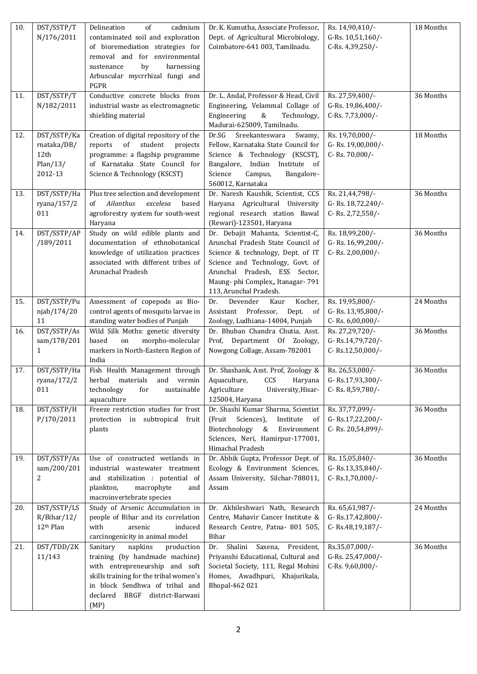| 10. | DST/SSTP/T                           | cadmium<br>Delineation<br>of                                       | Dr. K. Kumutha, Associate Professor,                                             | Rs. 14,90,410/-                       | 18 Months |
|-----|--------------------------------------|--------------------------------------------------------------------|----------------------------------------------------------------------------------|---------------------------------------|-----------|
|     | N/176/2011                           | contaminated soil and exploration                                  | Dept. of Agricultural Microbiology,                                              | G-Rs. 10,51,160/-                     |           |
|     |                                      | of bioremediation strategies for                                   | Coimbatore-641 003, Tamilnadu.                                                   | C-Rs. 4,39,250/-                      |           |
|     |                                      | removal and for environmental                                      |                                                                                  |                                       |           |
|     |                                      | by<br>harnessing<br>sustenance                                     |                                                                                  |                                       |           |
|     |                                      | Arbuscular mycrrhizal fungi and                                    |                                                                                  |                                       |           |
|     |                                      | PGPR                                                               |                                                                                  |                                       |           |
| 11. | DST/SSTP/T                           | Conductive concrete blocks from                                    | Dr. L. Andal, Professor & Head, Civil                                            | Rs. 27,59,400/-                       | 36 Months |
|     | N/182/2011                           | industrial waste as electromagnetic<br>shielding material          | Engineering, Velammal Collage of<br>Engineering<br>&<br>Technology,              | G-Rs. 19,86,400/-<br>C-Rs. 7,73,000/- |           |
|     |                                      |                                                                    | Madurai-625009, Tamilnadu.                                                       |                                       |           |
| 12. | DST/SSTP/Ka                          | Creation of digital repository of the                              | Dr.SG Sreekanteswara<br>Swamy,                                                   | Rs. 19,70,000/-                       | 18 Months |
|     | rnataka/DB/                          | of<br>student<br>reports<br>projects                               | Fellow, Karnataka State Council for                                              | G-Rs. 19,00,000/-                     |           |
|     | 12th                                 | programme: a flagship programme                                    | Science & Technology (KSCST),                                                    | C-Rs. 70,000/-                        |           |
|     | Plan/13/                             | of Karnataka State Council for                                     | Bangalore, Indian Institute of                                                   |                                       |           |
|     | 2012-13                              | Science & Technology (KSCST)                                       | Science<br>Campus,<br>Bangalore-                                                 |                                       |           |
|     |                                      |                                                                    | 560012, Karnataka                                                                |                                       |           |
| 13. | DST/SSTP/Ha                          | Plus tree selection and development                                | Dr. Naresh Kaushik, Scientist, CCS                                               | Rs. 21,44,798/-                       | 36 Months |
|     | ryana/157/2                          | Ailanthus<br>excelesa<br>based<br>of                               | Haryana Agricultural University                                                  | G-Rs. 18,72,240/-                     |           |
|     | 011                                  | agroforestry system for south-west                                 | regional research station Bawal                                                  | C-Rs. 2,72,558/-                      |           |
|     |                                      | Haryana                                                            | (Rewari)-123501, Haryana                                                         |                                       |           |
| 14. | DST/SSTP/AP<br>/189/2011             | Study on wild edible plants and<br>documentation of ethnobotanical | Dr. Debajit Mahanta, Scientist-C,<br>Arunchal Pradesh State Council of           | Rs. 18,99,200/-<br>G-Rs. 16,99,200/-  | 36 Months |
|     |                                      | knowledge of utilization practices                                 | Science & technology, Dept. of IT                                                | C-Rs. 2,00,000/-                      |           |
|     |                                      | associated with different tribes of                                | Science and Technology, Govt. of                                                 |                                       |           |
|     |                                      | Arunachal Pradesh                                                  | Arunchal Pradesh, ESS Sector,                                                    |                                       |           |
|     |                                      |                                                                    | Maung-phi Complex,, Itanagar-791                                                 |                                       |           |
|     |                                      |                                                                    | 113, Arunchal Pradesh.                                                           |                                       |           |
| 15. | DST/SSTP/Pu                          | Assessment of copepods as Bio-                                     | Devender<br>Kaur<br>Kocher,<br>Dr.                                               | Rs. 19,95,800/-                       | 24 Months |
|     | njab/174/20                          | control agents of mosquito larvae in                               | Assistant Professor, Dept.<br>0f                                                 | G-Rs. 13,95,800/-                     |           |
|     | 11                                   | standing water bodies of Punjab                                    | Zoology, Ludhiana-14004, Punjab                                                  | C-Rs. 6,00,000/-                      |           |
| 16. | DST/SSTP/As                          | Wild Silk Moths: genetic diversity                                 | Dr. Bhuban Chandra Chutia, Asst.                                                 | Rs. 27,29,720/-                       | 36 Months |
|     | sam/178/201                          | based<br>morpho-molecular<br>on                                    | Department Of Zoology,<br>Prof.                                                  | G-Rs.14,79,720/-                      |           |
|     | 1                                    | markers in North-Eastern Region of                                 | Nowgong Collage, Assam-782001                                                    | C-Rs.12,50,000/-                      |           |
|     |                                      | India                                                              |                                                                                  |                                       |           |
| 17. | DST/SSTP/Ha                          | Fish Health Management through                                     | Dr. Shashank, Asst. Prof, Zoology &                                              | Rs. 26,53,080/-                       | 36 Months |
|     | ryana/172/2<br>011                   | herbal materials and vermin<br>technology<br>for<br>sustainable    | Aquaculture, CCS Haryana   G-Rs.17,93,300/-<br>Agriculture<br>University, Hisar- | C-Rs. 8,59,780/-                      |           |
|     |                                      | aquaculture                                                        | 125004, Haryana                                                                  |                                       |           |
| 18. | DST/SSTP/H                           | Freeze restriction studies for frost                               | Dr. Shashi Kumar Sharma, Scientist                                               | Rs. 37,77,099/-                       | 36 Months |
|     | P/170/2011                           | protection in subtropical fruit                                    | (Fruit Sciences),<br>Institute<br>of                                             | G-Rs.17,22,200/-                      |           |
|     |                                      | plants                                                             | Biotechnology &<br>Environment                                                   | C-Rs. 20,54,899/-                     |           |
|     |                                      |                                                                    | Sciences, Neri, Hamirpur-177001,                                                 |                                       |           |
|     |                                      |                                                                    | Himachal Pradesh                                                                 |                                       |           |
| 19. | DST/SSTP/As                          | Use of constructed wetlands in                                     | Dr. Abhik Gupta, Professor Dept. of                                              | Rs. 15,05,840/-                       | 36 Months |
|     | sam/200/201                          | industrial wastewater treatment                                    | Ecology & Environment Sciences,                                                  | G-Rs.13,35,840/-                      |           |
|     | 2                                    | and stabilization : potential of                                   | Assam University, Silchar-788011,                                                | C-Rs.1,70,000/-                       |           |
|     |                                      | plankton,<br>macrophyte<br>and                                     | Assam                                                                            |                                       |           |
|     |                                      | macroinvertebrate species                                          |                                                                                  |                                       |           |
| 20. | DST/SSTP/LS                          | Study of Arsenic Accumulation in                                   | Dr. Akhileshwari Nath, Research                                                  | Rs. 65,61,987/-                       | 24 Months |
|     | R/Bihar/12/<br>12 <sup>th</sup> Plan | people of Bihar and its correlation<br>with<br>induced             | Centre, Mahavir Cancer Institute &                                               | G-Rs.17,42,800/-                      |           |
|     |                                      | arsenic<br>carcinogenicity in animal model                         | Research Centre, Patna- 801 505,<br>Bihar                                        | C-Rs.48,19,187/-                      |           |
| 21. | DST/TDD/2K                           | Sanitary<br>napkins<br>production                                  | Saxena,<br>Dr. Shalini<br>President,                                             | Rs.35,07,000/-                        | 36 Months |
|     | 11/143                               | training (by handmade machine)                                     | Priyanshi Educational, Cultural and                                              | G-Rs. 25,47,000/-                     |           |
|     |                                      | with entrepreneurship and soft                                     | Societal Society, 111, Regal Mohini                                              | C-Rs. 9,60,000/-                      |           |
|     |                                      | skills training for the tribal women's                             | Homes, Awadhpuri, Khajurikala,                                                   |                                       |           |
|     |                                      | in block Sendhwa of tribal and                                     | Bhopal-462 021                                                                   |                                       |           |
|     |                                      | declared BRGF district-Barwani                                     |                                                                                  |                                       |           |
|     |                                      | (MP)                                                               |                                                                                  |                                       |           |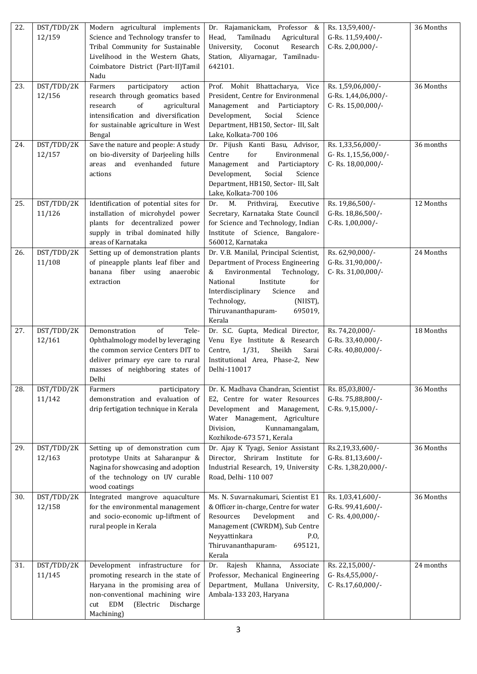| 22. | DST/TDD/2K<br>12/159 | Modern agricultural implements<br>Science and Technology transfer to<br>Tribal Community for Sustainable<br>Livelihood in the Western Ghats,<br>Coimbatore District (Part-II)Tamil<br>Nadu                     | Dr. Rajamanickam, Professor &<br>Tamilnadu<br>Head,<br>Agricultural<br>University,<br>Coconut<br>Research<br>Station, Aliyarnagar, Tamilnadu-<br>642101.                                                                                                       | Rs. 13,59,400/-<br>G-Rs. 11,59,400/-<br>C-Rs. 2,00,000/-      | 36 Months |
|-----|----------------------|----------------------------------------------------------------------------------------------------------------------------------------------------------------------------------------------------------------|----------------------------------------------------------------------------------------------------------------------------------------------------------------------------------------------------------------------------------------------------------------|---------------------------------------------------------------|-----------|
| 23. | DST/TDD/2K<br>12/156 | Farmers<br>participatory<br>action<br>research through geomatics based<br>research<br>of<br>agricultural<br>intensification and diversification<br>for sustainable agriculture in West<br>Bengal               | Prof. Mohit Bhattacharya, Vice<br>President, Centre for Environmenal<br>Management and Particiaptory<br>Development,<br>Social<br>Science<br>Department, HB150, Sector- III, Salt<br>Lake, Kolkata-700 106                                                     | Rs. 1,59,06,000/-<br>G-Rs. 1,44,06,000/-<br>C-Rs. 15,00,000/- | 36 Months |
| 24. | DST/TDD/2K<br>12/157 | Save the nature and people: A study<br>on bio-diversity of Darjeeling hills<br>areas and evenhanded future<br>actions                                                                                          | Dr. Pijush Kanti Basu, Advisor,<br>Centre<br>for<br>Environmenal<br>Management<br>and Particiaptory<br>Development,<br>Social<br>Science<br>Department, HB150, Sector- III, Salt<br>Lake, Kolkata-700 106                                                      | Rs. 1,33,56,000/-<br>G-Rs. 1,15,56,000/-<br>C-Rs. 18,00,000/- | 36 months |
| 25. | DST/TDD/2K<br>11/126 | Identification of potential sites for<br>installation of microhydel power<br>plants for decentralized power<br>supply in tribal dominated hilly<br>areas of Karnataka                                          | Dr.<br>М.<br>Prithviraj,<br>Executive<br>Secretary, Karnataka State Council<br>for Science and Technology, Indian<br>Institute of Science, Bangalore-<br>560012, Karnataka                                                                                     | Rs. 19,86,500/-<br>G-Rs. 18,86,500/-<br>C-Rs. 1,00,000/-      | 12 Months |
| 26. | DST/TDD/2K<br>11/108 | Setting up of demonstration plants<br>of pineapple plants leaf fiber and<br>banana fiber using<br>anaerobic<br>extraction                                                                                      | Dr. V.B. Manilal, Principal Scientist,<br>Department of Process Engineering<br>Environmental<br>&<br>Technology,<br>National<br>Institute<br>for<br>Interdisciplinary<br>Science<br>and<br>Technology,<br>(NIIST),<br>Thiruvananthapuram-<br>695019,<br>Kerala | Rs. 62,90,000/-<br>G-Rs. 31,90,000/-<br>C-Rs. 31,00,000/-     | 24 Months |
| 27. | DST/TDD/2K<br>12/161 | Demonstration<br>of<br>Tele-<br>Ophthalmology model by leveraging<br>the common service Centers DIT to<br>deliver primary eye care to rural<br>masses of neighboring states of<br>Delhi                        | Dr. S.C. Gupta, Medical Director,<br>Venu Eye Institute & Research<br>Sheikh<br>Sarai<br>Centre,<br>1/31,<br>Institutional Area, Phase-2, New<br>Delhi-110017                                                                                                  | Rs. 74,20,000/-<br>G-Rs. 33,40,000/-<br>C-Rs. 40,80,000/-     | 18 Months |
| 28. | DST/TDD/2K<br>11/142 | participatory<br>Farmers<br>demonstration and evaluation of<br>drip fertigation technique in Kerala                                                                                                            | Dr. K. Madhava Chandran, Scientist<br>E2, Centre for water Resources<br>Development and Management,<br>Water Management, Agriculture<br>Kunnamangalam,<br>Division,<br>Kozhikode-673 571, Kerala                                                               | Rs. 85,03,800/-<br>G-Rs. 75,88,800/-<br>C-Rs. 9,15,000/-      | 36 Months |
| 29. | DST/TDD/2K<br>12/163 | Setting up of demonstration cum<br>prototype Units at Saharanpur &<br>Nagina for showcasing and adoption<br>of the technology on UV curable<br>wood coatings                                                   | Dr. Ajay K Tyagi, Senior Assistant<br>Director, Shriram Institute for<br>Industrial Research, 19, University<br>Road, Delhi-110 007                                                                                                                            | Rs.2,19,33,600/-<br>G-Rs. 81,13,600/-<br>C-Rs. 1,38,20,000/-  | 36 Months |
| 30. | DST/TDD/2K<br>12/158 | Integrated mangrove aquaculture<br>for the environmental management<br>and socio-economic up-liftment of<br>rural people in Kerala                                                                             | Ms. N. Suvarnakumari, Scientist E1<br>& Officer in-charge, Centre for water<br>Development<br>Resources<br>and<br>Management (CWRDM), Sub Centre<br>Neyyattinkara<br>P.O,<br>Thiruvananthapuram-<br>695121,<br>Kerala                                          | Rs. 1,03,41,600/-<br>G-Rs. 99,41,600/-<br>C-Rs. $4,00,000$ /- | 36 Months |
| 31. | DST/TDD/2K<br>11/145 | Development<br>infrastructure<br>for<br>promoting research in the state of<br>Haryana in the promising area of<br>non-conventional machining wire<br><b>EDM</b><br>(Electric<br>Discharge<br>cut<br>Machining) | Khanna,<br>Associate<br>Rajesh<br>Dr.<br>Professor, Mechanical Engineering<br>Department, Mullana University,<br>Ambala-133 203, Haryana                                                                                                                       | Rs. 22,15,000/-<br>G-Rs.4,55,000/-<br>C-Rs.17,60,000/-        | 24 months |